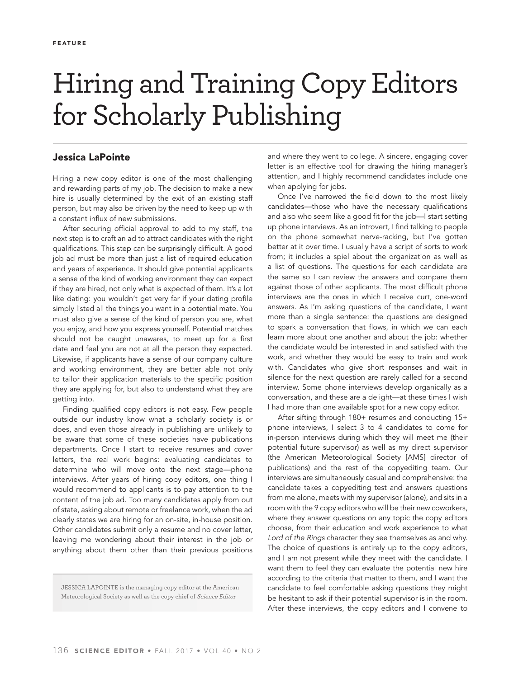## Hiring and Training Copy Editors for Scholarly Publishing

## **Jessica LaPointe**

Hiring a new copy editor is one of the most challenging and rewarding parts of my job. The decision to make a new hire is usually determined by the exit of an existing staff person, but may also be driven by the need to keep up with a constant influx of new submissions.

After securing official approval to add to my staff, the next step is to craft an ad to attract candidates with the right qualifications. This step can be surprisingly difficult. A good job ad must be more than just a list of required education and years of experience. It should give potential applicants a sense of the kind of working environment they can expect if they are hired, not only what is expected of them. It's a lot like dating: you wouldn't get very far if your dating profile simply listed all the things you want in a potential mate. You must also give a sense of the kind of person you are, what you enjoy, and how you express yourself. Potential matches should not be caught unawares, to meet up for a first date and feel you are not at all the person they expected. Likewise, if applicants have a sense of our company culture and working environment, they are better able not only to tailor their application materials to the specific position they are applying for, but also to understand what they are getting into.

Finding qualified copy editors is not easy. Few people outside our industry know what a scholarly society is or does, and even those already in publishing are unlikely to be aware that some of these societies have publications departments. Once I start to receive resumes and cover letters, the real work begins: evaluating candidates to determine who will move onto the next stage—phone interviews. After years of hiring copy editors, one thing I would recommend to applicants is to pay attention to the content of the job ad. Too many candidates apply from out of state, asking about remote or freelance work, when the ad clearly states we are hiring for an on-site, in-house position. Other candidates submit only a resume and no cover letter, leaving me wondering about their interest in the job or anything about them other than their previous positions

JESSICA LAPOINTE is the managing copy editor at the American Meteorological Society as well as the copy chief of Science Editor

and where they went to college. A sincere, engaging cover letter is an effective tool for drawing the hiring manager's attention, and I highly recommend candidates include one when applying for jobs.

Once I've narrowed the field down to the most likely candidates—those who have the necessary qualifications and also who seem like a good fit for the job-I start setting up phone interviews. As an introvert, I find talking to people on the phone somewhat nerve-racking, but I've gotten better at it over time. I usually have a script of sorts to work from; it includes a spiel about the organization as well as a list of questions. The questions for each candidate are the same so I can review the answers and compare them against those of other applicants. The most difficult phone interviews are the ones in which I receive curt, one-word answers. As I'm asking questions of the candidate, I want more than a single sentence: the questions are designed to spark a conversation that flows, in which we can each learn more about one another and about the job: whether the candidate would be interested in and satisfied with the work, and whether they would be easy to train and work with. Candidates who give short responses and wait in silence for the next question are rarely called for a second interview. Some phone interviews develop organically as a conversation, and these are a delight—at these times I wish I had more than one available spot for a new copy editor.

After sifting through 180+ resumes and conducting 15+ phone interviews, I select 3 to 4 candidates to come for in-person interviews during which they will meet me (their potential future supervisor) as well as my direct supervisor (the American Meteorological Society [AMS] director of publications) and the rest of the copyediting team. Our interviews are simultaneously casual and comprehensive: the candidate takes a copyediting test and answers questions from me alone, meets with my supervisor (alone), and sits in a room with the 9 copy editors who will be their new coworkers, where they answer questions on any topic the copy editors choose, from their education and work experience to what Lord of the Rings character they see themselves as and why. The choice of questions is entirely up to the copy editors, and I am not present while they meet with the candidate. I want them to feel they can evaluate the potential new hire according to the criteria that matter to them, and I want the candidate to feel comfortable asking questions they might be hesitant to ask if their potential supervisor is in the room. After these interviews, the copy editors and I convene to